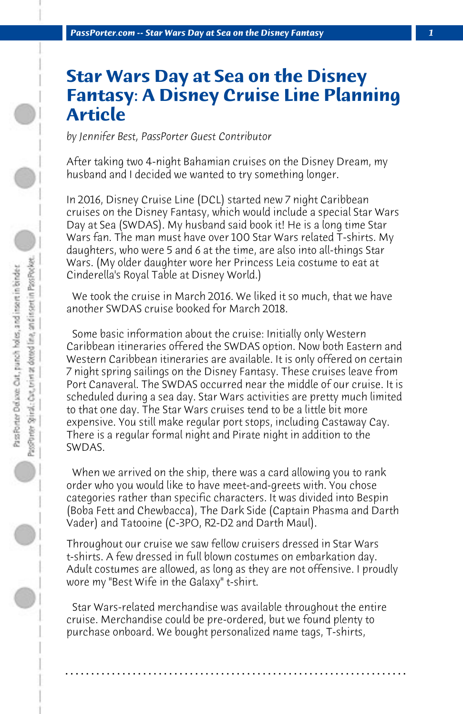## **Star Wars Day at Sea on the Disney Fantasy: A Disney Cruise Line Planning Article**

*by Jennifer Best, PassPorter Guest Contributor*

After taking two 4-night Bahamian cruises on the Disney Dream, my husband and I decided we wanted to try something longer.

In 2016, Disney Cruise Line (DCL) started new 7 night Caribbean cruises on the Disney Fantasy, which would include a special Star Wars Day at Sea (SWDAS). My husband said book it! He is a long time Star Wars fan. The man must have over 100 Star Wars related T-shirts. My daughters, who were 5 and 6 at the time, are also into all-things Star Wars. (My older daughter wore her Princess Leia costume to eat at Cinderella's Royal Table at Disney World.)

 We took the cruise in March 2016. We liked it so much, that we have another SWDAS cruise booked for March 2018.

 Some basic information about the cruise: Initially only Western Caribbean itineraries offered the SWDAS option. Now both Eastern and Western Caribbean itineraries are available. It is only offered on certain 7 night spring sailings on the Disney Fantasy. These cruises leave from Port Canaveral. The SWDAS occurred near the middle of our cruise. It is scheduled during a sea day. Star Wars activities are pretty much limited to that one day. The Star Wars cruises tend to be a little bit more expensive. You still make regular port stops, including Castaway Cay. There is a regular formal night and Pirate night in addition to the SWDAS.

 When we arrived on the ship, there was a card allowing you to rank order who you would like to have meet-and-greets with. You chose categories rather than specific characters. It was divided into Bespin (Boba Fett and Chewbacca), The Dark Side (Captain Phasma and Darth Vader) and Tatooine (C-3PO, R2-D2 and Darth Maul).

Throughout our cruise we saw fellow cruisers dressed in Star Wars t-shirts. A few dressed in full blown costumes on embarkation day. Adult costumes are allowed, as long as they are not offensive. I proudly wore my "Best Wife in the Galaxy" t-shirt.

 Star Wars-related merchandise was available throughout the entire cruise. Merchandise could be pre-ordered, but we found plenty to purchase onboard. We bought personalized name tags, T-shirts,

**. . . . . . . . . . . . . . . . . . . . . . . . . . . . . . . . . . . . . . . . . . . . . . . . . . . . . . . . . . . . . . . . . .**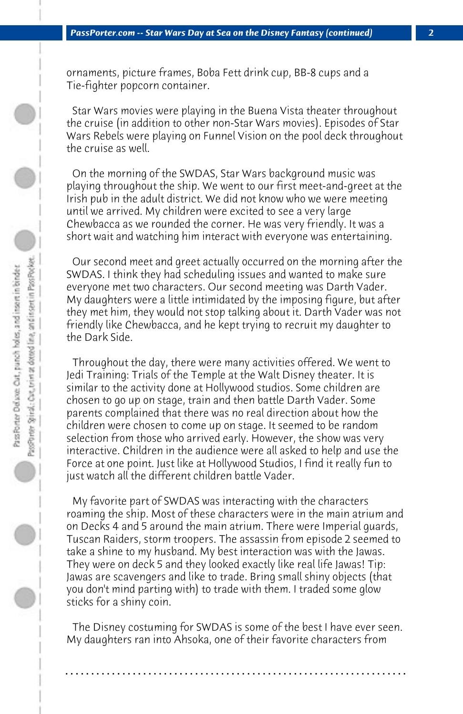ornaments, picture frames, Boba Fett drink cup, BB-8 cups and a Tie-fighter popcorn container.

 Star Wars movies were playing in the Buena Vista theater throughout the cruise (in addition to other non-Star Wars movies). Episodes of Star Wars Rebels were playing on Funnel Vision on the pool deck throughout the cruise as well.

 On the morning of the SWDAS, Star Wars background music was playing throughout the ship. We went to our first meet-and-greet at the Irish pub in the adult district. We did not know who we were meeting until we arrived. My children were excited to see a very large Chewbacca as we rounded the corner. He was very friendly. It was a short wait and watching him interact with everyone was entertaining.

 Our second meet and greet actually occurred on the morning after the SWDAS. I think they had scheduling issues and wanted to make sure everyone met two characters. Our second meeting was Darth Vader. My daughters were a little intimidated by the imposing figure, but after they met him, they would not stop talking about it. Darth Vader was not friendly like Chewbacca, and he kept trying to recruit my daughter to the Dark Side.

 Throughout the day, there were many activities offered. We went to Jedi Training: Trials of the Temple at the Walt Disney theater. It is similar to the activity done at Hollywood studios. Some children are chosen to go up on stage, train and then battle Darth Vader. Some parents complained that there was no real direction about how the children were chosen to come up on stage. It seemed to be random selection from those who arrived early. However, the show was very interactive. Children in the audience were all asked to help and use the Force at one point. Just like at Hollywood Studios, I find it really fun to just watch all the different children battle Vader.

 My favorite part of SWDAS was interacting with the characters roaming the ship. Most of these characters were in the main atrium and on Decks 4 and 5 around the main atrium. There were Imperial guards, Tuscan Raiders, storm troopers. The assassin from episode 2 seemed to take a shine to my husband. My best interaction was with the Jawas. They were on deck 5 and they looked exactly like real life Jawas! Tip: Jawas are scavengers and like to trade. Bring small shiny objects (that you don't mind parting with) to trade with them. I traded some glow sticks for a shiny coin.

 The Disney costuming for SWDAS is some of the best I have ever seen. My daughters ran into Ahsoka, one of their favorite characters from

**. . . . . . . . . . . . . . . . . . . . . . . . . . . . . . . . . . . . . . . . . . . . . . . . . . . . . . . . . . . . . . . . . .**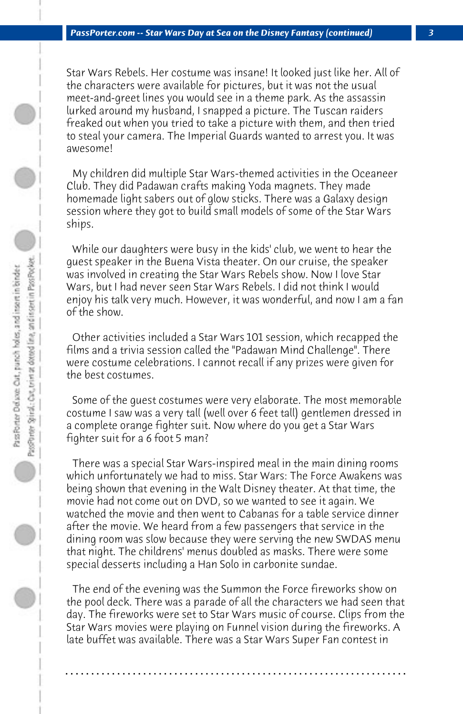Star Wars Rebels. Her costume was insane! It looked just like her. All of the characters were available for pictures, but it was not the usual meet-and-greet lines you would see in a theme park. As the assassin lurked around my husband, I snapped a picture. The Tuscan raiders freaked out when you tried to take a picture with them, and then tried to steal your camera. The Imperial Guards wanted to arrest you. It was awesome!

 My children did multiple Star Wars-themed activities in the Oceaneer Club. They did Padawan crafts making Yoda magnets. They made homemade light sabers out of glow sticks. There was a Galaxy design session where they got to build small models of some of the Star Wars ships.

 While our daughters were busy in the kids' club, we went to hear the guest speaker in the Buena Vista theater. On our cruise, the speaker was involved in creating the Star Wars Rebels show. Now I love Star Wars, but I had never seen Star Wars Rebels. I did not think I would enjoy his talk very much. However, it was wonderful, and now I am a fan of the show.

 Other activities included a Star Wars 101 session, which recapped the films and a trivia session called the "Padawan Mind Challenge". There were costume celebrations. I cannot recall if any prizes were given for the best costumes.

 Some of the guest costumes were very elaborate. The most memorable costume I saw was a very tall (well over 6 feet tall) gentlemen dressed in a complete orange fighter suit. Now where do you get a Star Wars fighter suit for a 6 foot 5 man?

 There was a special Star Wars-inspired meal in the main dining rooms which unfortunately we had to miss. Star Wars: The Force Awakens was being shown that evening in the Walt Disney theater. At that time, the movie had not come out on DVD, so we wanted to see it again. We watched the movie and then went to Cabanas for a table service dinner after the movie. We heard from a few passengers that service in the dining room was slow because they were serving the new SWDAS menu that night. The childrens' menus doubled as masks. There were some special desserts including a Han Solo in carbonite sundae.

 The end of the evening was the Summon the Force fireworks show on the pool deck. There was a parade of all the characters we had seen that day. The fireworks were set to Star Wars music of course. Clips from the Star Wars movies were playing on Funnel vision during the fireworks. A late buffet was available. There was a Star Wars Super Fan contest in

**. . . . . . . . . . . . . . . . . . . . . . . . . . . . . . . . . . . . . . . . . . . . . . . . . . . . . . . . . . . . . . . . . .**